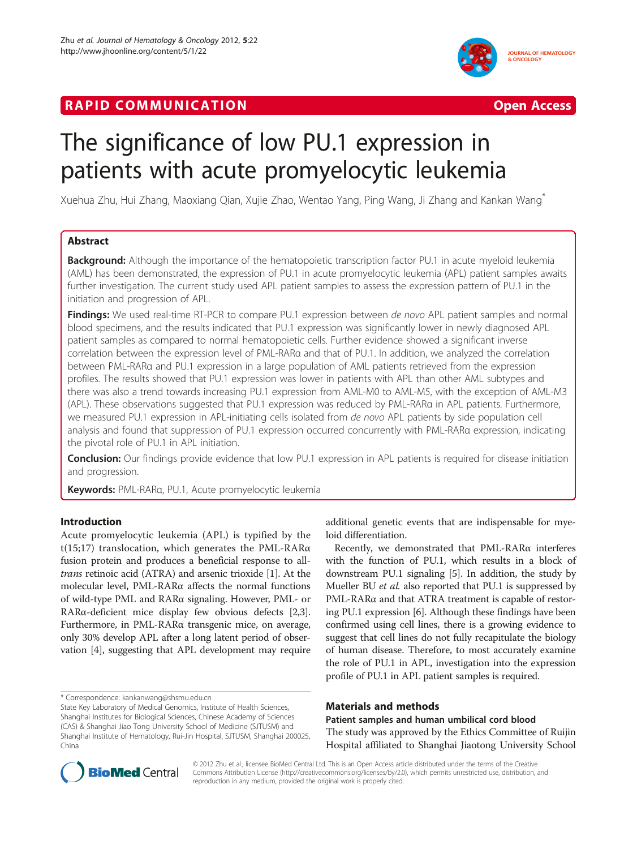# **RAPID COMMUNICATION COMMUNICATION**





# The significance of low PU.1 expression in patients with acute promyelocytic leukemia

Xuehua Zhu, Hui Zhang, Maoxiang Qian, Xujie Zhao, Wentao Yang, Ping Wang, Ji Zhang and Kankan Wang\*

# Abstract

**Background:** Although the importance of the hematopoietic transcription factor PU.1 in acute myeloid leukemia (AML) has been demonstrated, the expression of PU.1 in acute promyelocytic leukemia (APL) patient samples awaits further investigation. The current study used APL patient samples to assess the expression pattern of PU.1 in the initiation and progression of APL.

Findings: We used real-time RT-PCR to compare PU.1 expression between de novo APL patient samples and normal blood specimens, and the results indicated that PU.1 expression was significantly lower in newly diagnosed APL patient samples as compared to normal hematopoietic cells. Further evidence showed a significant inverse correlation between the expression level of PML-RARα and that of PU.1. In addition, we analyzed the correlation between PML-RARα and PU.1 expression in a large population of AML patients retrieved from the expression profiles. The results showed that PU.1 expression was lower in patients with APL than other AML subtypes and there was also a trend towards increasing PU.1 expression from AML-M0 to AML-M5, with the exception of AML-M3 (APL). These observations suggested that PU.1 expression was reduced by PML-RARα in APL patients. Furthermore, we measured PU.1 expression in APL-initiating cells isolated from *de novo* APL patients by side population cell analysis and found that suppression of PU.1 expression occurred concurrently with PML-RARα expression, indicating the pivotal role of PU.1 in APL initiation.

**Conclusion:** Our findings provide evidence that low PU.1 expression in APL patients is required for disease initiation and progression.

Keywords: PML-RARa, PU.1, Acute promyelocytic leukemia

# Introduction

Acute promyelocytic leukemia (APL) is typified by the t(15;17) translocation, which generates the PML-RARα fusion protein and produces a beneficial response to alltrans retinoic acid (ATRA) and arsenic trioxide [\[1](#page-4-0)]. At the molecular level, PML-RARα affects the normal functions of wild-type PML and RARα signaling. However, PML- or RARα-deficient mice display few obvious defects [[2](#page-4-0),[3](#page-4-0)]. Furthermore, in PML-RARα transgenic mice, on average, only 30% develop APL after a long latent period of observation [[4\]](#page-4-0), suggesting that APL development may require

\* Correspondence: [kankanwang@shsmu.edu.cn](mailto:kankanwang@shsmu.edu.cn)

State Key Laboratory of Medical Genomics, Institute of Health Sciences, Shanghai Institutes for Biological Sciences, Chinese Academy of Sciences (CAS) & Shanghai Jiao Tong University School of Medicine (SJTUSM) and Shanghai Institute of Hematology, Rui-Jin Hospital, SJTUSM, Shanghai 200025, China

additional genetic events that are indispensable for myeloid differentiation.

Recently, we demonstrated that PML-RARα interferes with the function of PU.1, which results in a block of downstream PU.1 signaling [[5\]](#page-5-0). In addition, the study by Mueller BU et al. also reported that PU.1 is suppressed by PML-RARα and that ATRA treatment is capable of restoring PU.1 expression [\[6](#page-5-0)]. Although these findings have been confirmed using cell lines, there is a growing evidence to suggest that cell lines do not fully recapitulate the biology of human disease. Therefore, to most accurately examine the role of PU.1 in APL, investigation into the expression profile of PU.1 in APL patient samples is required.

## Materials and methods

Patient samples and human umbilical cord blood The study was approved by the Ethics Committee of Ruijin Hospital affiliated to Shanghai Jiaotong University School



© 2012 Zhu et al.; licensee BioMed Central Ltd. This is an Open Access article distributed under the terms of the Creative Commons Attribution License (http://creativecommons.org/licenses/by/2.0), which permits unrestricted use, distribution, and reproduction in any medium, provided the original work is properly cited.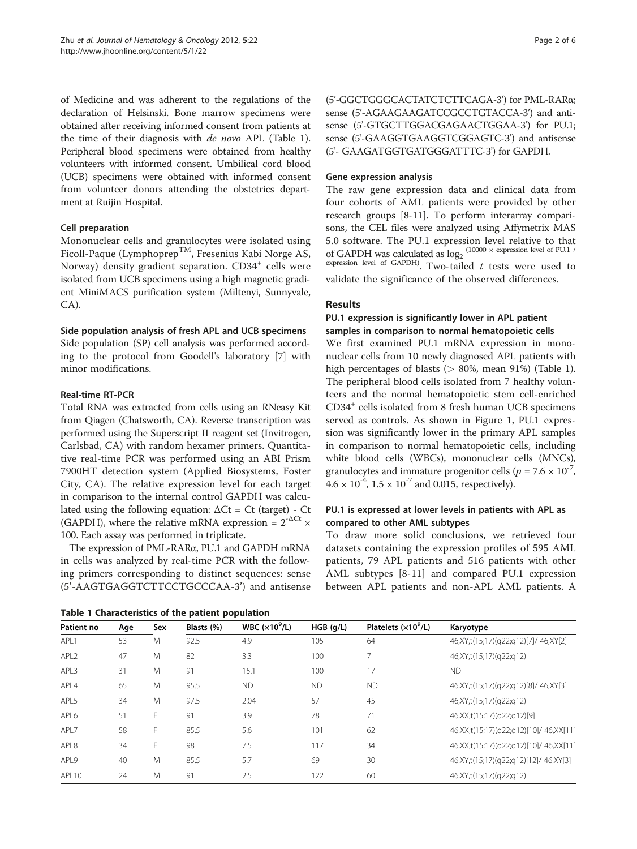<span id="page-1-0"></span>of Medicine and was adherent to the regulations of the declaration of Helsinski. Bone marrow specimens were obtained after receiving informed consent from patients at the time of their diagnosis with de novo APL (Table 1). Peripheral blood specimens were obtained from healthy volunteers with informed consent. Umbilical cord blood (UCB) specimens were obtained with informed consent from volunteer donors attending the obstetrics department at Ruijin Hospital.

#### Cell preparation

Mononuclear cells and granulocytes were isolated using Ficoll-Paque (Lymphoprep<sup>TM</sup>, Fresenius Kabi Norge AS, Norway) density gradient separation. CD34<sup>+</sup> cells were isolated from UCB specimens using a high magnetic gradient MiniMACS purification system (Miltenyi, Sunnyvale, CA).

#### Side population analysis of fresh APL and UCB specimens

Side population (SP) cell analysis was performed according to the protocol from Goodell's laboratory [[7\]](#page-5-0) with minor modifications.

#### Real-time RT-PCR

Total RNA was extracted from cells using an RNeasy Kit from Qiagen (Chatsworth, CA). Reverse transcription was performed using the Superscript II reagent set (Invitrogen, Carlsbad, CA) with random hexamer primers. Quantitative real-time PCR was performed using an ABI Prism 7900HT detection system (Applied Biosystems, Foster City, CA). The relative expression level for each target in comparison to the internal control GAPDH was calculated using the following equation:  $\Delta$ Ct = Ct (target) - Ct (GAPDH), where the relative mRNA expression =  $2^{-\Delta Ct}$  × 100. Each assay was performed in triplicate.

The expression of PML-RARα, PU.1 and GAPDH mRNA in cells was analyzed by real-time PCR with the following primers corresponding to distinct sequences: sense (5'-AAGTGAGGTCTTCCTGCCCAA-3') and antisense

Table 1 Characteristics of the patient population

(5'-GGCTGGGCACTATCTCTTCAGA-3') for PML-RARα; sense (5'-AGAAGAAGATCCGCCTGTACCA-3') and antisense (5'-GTGCTTGGACGAGAACTGGAA-3') for PU.1; sense (5'-GAAGGTGAAGGTCGGAGTC-3') and antisense (5'- GAAGATGGTGATGGGATTTC-3') for GAPDH.

#### Gene expression analysis

The raw gene expression data and clinical data from four cohorts of AML patients were provided by other research groups [[8](#page-5-0)-[11\]](#page-5-0). To perform interarray comparisons, the CEL files were analyzed using Affymetrix MAS 5.0 software. The PU.1 expression level relative to that of GAPDH was calculated as  $log_2$  (10000  $\times$  expression level of PU.1 /  $\frac{C_1}{C_2}$  expression level of GAPDH). Two-tailed t tests were used to

validate the significance of the observed differences.

## Results

#### PU.1 expression is significantly lower in APL patient samples in comparison to normal hematopoietic cells

We first examined PU.1 mRNA expression in mononuclear cells from 10 newly diagnosed APL patients with high percentages of blasts ( $> 80\%$ , mean 91%) (Table 1). The peripheral blood cells isolated from 7 healthy volunteers and the normal hematopoietic stem cell-enriched CD34+ cells isolated from 8 fresh human UCB specimens served as controls. As shown in Figure [1,](#page-2-0) PU.1 expression was significantly lower in the primary APL samples in comparison to normal hematopoietic cells, including white blood cells (WBCs), mononuclear cells (MNCs), granulocytes and immature progenitor cells ( $p = 7.6 \times 10^{-7}$ ,  $4.6 \times 10^{-4}$ ,  $1.5 \times 10^{-7}$  and 0.015, respectively).

# PU.1 is expressed at lower levels in patients with APL as compared to other AML subtypes

To draw more solid conclusions, we retrieved four datasets containing the expression profiles of 595 AML patients, 79 APL patients and 516 patients with other AML subtypes [[8](#page-5-0)-[11\]](#page-5-0) and compared PU.1 expression between APL patients and non-APL AML patients. A

| Patient no       | Age | Sex | Blasts (%) | WBC $(x10^9/L)$ | HGB (q/L) | Platelets $(x10^9/L)$ | Karyotype                                       |
|------------------|-----|-----|------------|-----------------|-----------|-----------------------|-------------------------------------------------|
| API <sub>1</sub> | 53  | M   | 92.5       | 4.9             | 105       | 64                    | 46, XY, t(15; 17) (q22; q12) [7] / 46, XY [2]   |
| APL <sub>2</sub> | 47  | M   | 82         | 3.3             | 100       |                       | 46, XY, t(15; 17) (q22; q12)                    |
| APL3             | 31  | M   | 91         | 15.1            | 100       | 17                    | <b>ND</b>                                       |
| APL4             | 65  | M   | 95.5       | <b>ND</b>       | <b>ND</b> | <b>ND</b>             | 46, XY, t(15; 17) (q22; q12) [8] / 46, XY [3]   |
| APL5             | 34  | M   | 97.5       | 2.04            | 57        | 45                    | 46, XY, t(15; 17) (q22; q12)                    |
| APL6             | 51  | F.  | 91         | 3.9             | 78        | 71                    | 46, XX, t(15; 17) (q22; q12) [9]                |
| APL7             | 58  | F.  | 85.5       | 5.6             | 101       | 62                    | 46, XX, t(15; 17) (q22; q12) [10] / 46, XX [11] |
| APL8             | 34  | F.  | 98         | 7.5             | 117       | 34                    | 46, XX, t(15; 17) (q22; q12) [10] / 46, XX [11] |
| APL9             | 40  | M   | 85.5       | 5.7             | 69        | 30                    | 46, XY, t(15; 17) (q22; q12) [12] / 46, XY [3]  |
| APL10            | 24  | M   | 91         | 2.5             | 122       | 60                    | 46, XY, t(15; 17) (q22; q12)                    |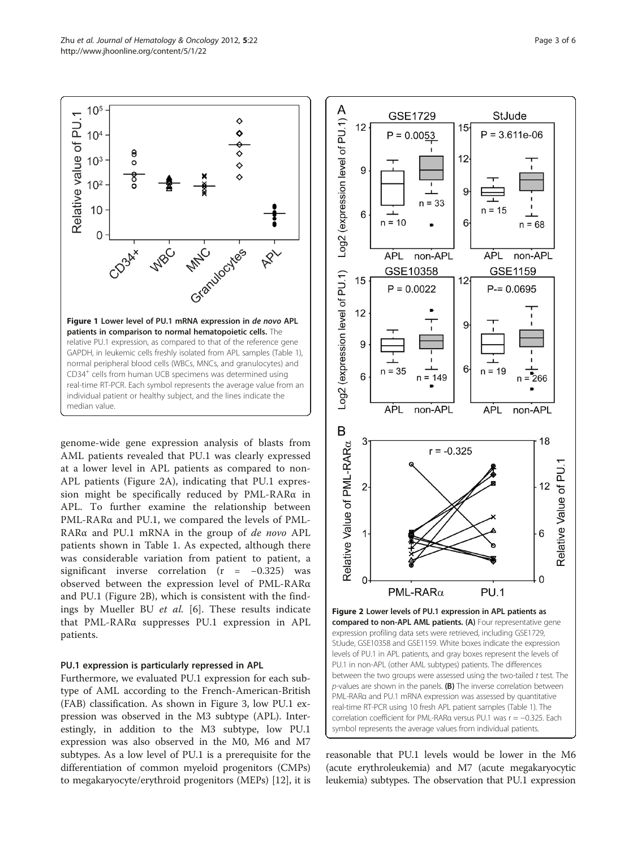<span id="page-2-0"></span>

genome-wide gene expression analysis of blasts from AML patients revealed that PU.1 was clearly expressed at a lower level in APL patients as compared to non-APL patients (Figure 2A), indicating that PU.1 expression might be specifically reduced by PML-RARα in APL. To further examine the relationship between PML-RARα and PU.1, we compared the levels of PML-RARα and PU.1 mRNA in the group of de novo APL patients shown in Table [1](#page-1-0). As expected, although there was considerable variation from patient to patient, a significant inverse correlation (r = −0.325) was observed between the expression level of PML-RARα and PU.1 (Figure 2B), which is consistent with the findings by Mueller BU et al. [\[6](#page-5-0)]. These results indicate that PML-RARα suppresses PU.1 expression in APL patients.

#### PU.1 expression is particularly repressed in APL

Furthermore, we evaluated PU.1 expression for each subtype of AML according to the French-American-British (FAB) classification. As shown in Figure [3](#page-3-0), low PU.1 expression was observed in the M3 subtype (APL). Interestingly, in addition to the M3 subtype, low PU.1 expression was also observed in the M0, M6 and M7 subtypes. As a low level of PU.1 is a prerequisite for the differentiation of common myeloid progenitors (CMPs) to megakaryocyte/erythroid progenitors (MEPs) [[12](#page-5-0)], it is



reasonable that PU.1 levels would be lower in the M6 (acute erythroleukemia) and M7 (acute megakaryocytic leukemia) subtypes. The observation that PU.1 expression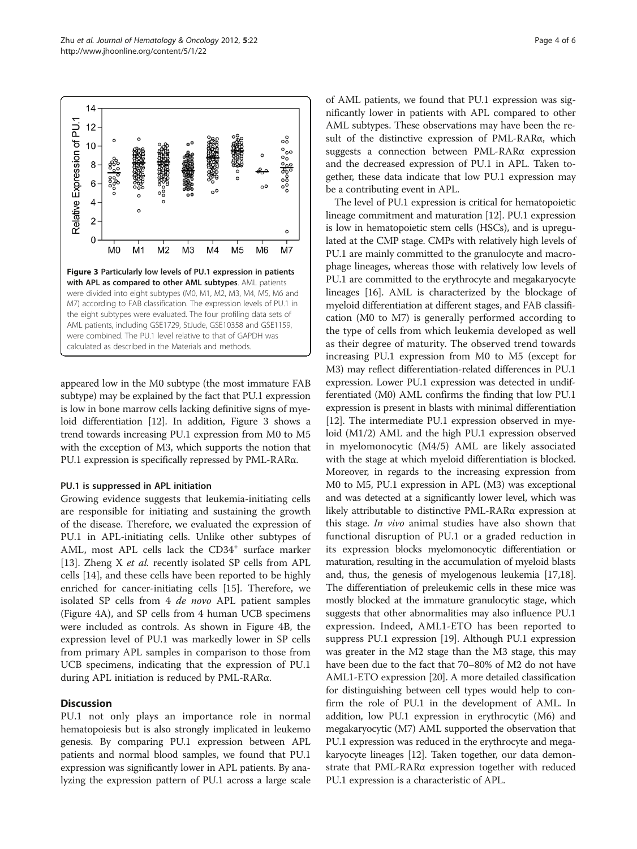<span id="page-3-0"></span>

appeared low in the M0 subtype (the most immature FAB subtype) may be explained by the fact that PU.1 expression is low in bone marrow cells lacking definitive signs of myeloid differentiation [[12](#page-5-0)]. In addition, Figure 3 shows a trend towards increasing PU.1 expression from M0 to M5 with the exception of M3, which supports the notion that PU.1 expression is specifically repressed by PML-RARα.

#### PU.1 is suppressed in APL initiation

Growing evidence suggests that leukemia-initiating cells are responsible for initiating and sustaining the growth of the disease. Therefore, we evaluated the expression of PU.1 in APL-initiating cells. Unlike other subtypes of AML, most APL cells lack the CD34<sup>+</sup> surface marker [[13\]](#page-5-0). Zheng X *et al.* recently isolated SP cells from APL cells [\[14](#page-5-0)], and these cells have been reported to be highly enriched for cancer-initiating cells [[15](#page-5-0)]. Therefore, we isolated SP cells from 4 de novo APL patient samples (Figure [4A\)](#page-4-0), and SP cells from 4 human UCB specimens were included as controls. As shown in Figure [4B](#page-4-0), the expression level of PU.1 was markedly lower in SP cells from primary APL samples in comparison to those from UCB specimens, indicating that the expression of PU.1 during APL initiation is reduced by PML-RARα.

#### **Discussion**

PU.1 not only plays an importance role in normal hematopoiesis but is also strongly implicated in leukemo genesis. By comparing PU.1 expression between APL patients and normal blood samples, we found that PU.1 expression was significantly lower in APL patients. By analyzing the expression pattern of PU.1 across a large scale of AML patients, we found that PU.1 expression was significantly lower in patients with APL compared to other AML subtypes. These observations may have been the result of the distinctive expression of PML-RARα, which suggests a connection between PML-RARα expression and the decreased expression of PU.1 in APL. Taken together, these data indicate that low PU.1 expression may be a contributing event in APL.

The level of PU.1 expression is critical for hematopoietic lineage commitment and maturation [\[12\]](#page-5-0). PU.1 expression is low in hematopoietic stem cells (HSCs), and is upregulated at the CMP stage. CMPs with relatively high levels of PU.1 are mainly committed to the granulocyte and macrophage lineages, whereas those with relatively low levels of PU.1 are committed to the erythrocyte and megakaryocyte lineages [\[16\]](#page-5-0). AML is characterized by the blockage of myeloid differentiation at different stages, and FAB classification (M0 to M7) is generally performed according to the type of cells from which leukemia developed as well as their degree of maturity. The observed trend towards increasing PU.1 expression from M0 to M5 (except for M3) may reflect differentiation-related differences in PU.1 expression. Lower PU.1 expression was detected in undifferentiated (M0) AML confirms the finding that low PU.1 expression is present in blasts with minimal differentiation [[12](#page-5-0)]. The intermediate PU.1 expression observed in myeloid (M1/2) AML and the high PU.1 expression observed in myelomonocytic (M4/5) AML are likely associated with the stage at which myeloid differentiation is blocked. Moreover, in regards to the increasing expression from M0 to M5, PU.1 expression in APL (M3) was exceptional and was detected at a significantly lower level, which was likely attributable to distinctive PML-RARα expression at this stage. In vivo animal studies have also shown that functional disruption of PU.1 or a graded reduction in its expression blocks myelomonocytic differentiation or maturation, resulting in the accumulation of myeloid blasts and, thus, the genesis of myelogenous leukemia [\[17,18](#page-5-0)]. The differentiation of preleukemic cells in these mice was mostly blocked at the immature granulocytic stage, which suggests that other abnormalities may also influence PU.1 expression. Indeed, AML1-ETO has been reported to suppress PU.1 expression [[19](#page-5-0)]. Although PU.1 expression was greater in the M2 stage than the M3 stage, this may have been due to the fact that 70–80% of M2 do not have AML1-ETO expression [\[20\]](#page-5-0). A more detailed classification for distinguishing between cell types would help to confirm the role of PU.1 in the development of AML. In addition, low PU.1 expression in erythrocytic (M6) and megakaryocytic (M7) AML supported the observation that PU.1 expression was reduced in the erythrocyte and megakaryocyte lineages [[12](#page-5-0)]. Taken together, our data demonstrate that PML-RARα expression together with reduced PU.1 expression is a characteristic of APL.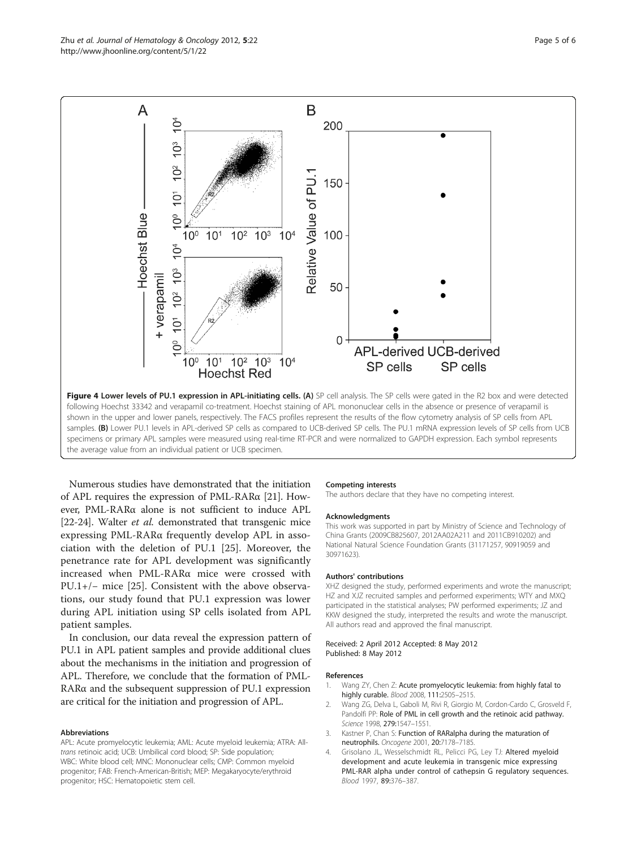Numerous studies have demonstrated that the initiation of APL requires the expression of PML-RARα [[21](#page-5-0)]. However, PML-RARα alone is not sufficient to induce APL [[22](#page-5-0)-[24](#page-5-0)]. Walter et al. demonstrated that transgenic mice expressing PML-RARα frequently develop APL in association with the deletion of PU.1 [\[25](#page-5-0)]. Moreover, the penetrance rate for APL development was significantly increased when PML-RARα mice were crossed with PU.1+/− mice [\[25](#page-5-0)]. Consistent with the above observations, our study found that PU.1 expression was lower during APL initiation using SP cells isolated from APL patient samples.

the average value from an individual patient or UCB specimen.

In conclusion, our data reveal the expression pattern of PU.1 in APL patient samples and provide additional clues about the mechanisms in the initiation and progression of APL. Therefore, we conclude that the formation of PML-RARα and the subsequent suppression of PU.1 expression are critical for the initiation and progression of APL.

#### Abbreviations

APL: Acute promyelocytic leukemia; AML: Acute myeloid leukemia; ATRA: Alltrans retinoic acid; UCB: Umbilical cord blood; SP: Side population; WBC: White blood cell; MNC: Mononuclear cells; CMP: Common myeloid progenitor; FAB: French-American-British; MEP: Megakaryocyte/erythroid progenitor; HSC: Hematopoietic stem cell.

#### Competing interests

The authors declare that they have no competing interest.

#### Acknowledgments

This work was supported in part by Ministry of Science and Technology of China Grants (2009CB825607, 2012AA02A211 and 2011CB910202) and National Natural Science Foundation Grants (31171257, 90919059 and 30971623).

#### Authors' contributions

XHZ designed the study, performed experiments and wrote the manuscript; HZ and XJZ recruited samples and performed experiments; WTY and MXQ participated in the statistical analyses; PW performed experiments; JZ and KKW designed the study, interpreted the results and wrote the manuscript. All authors read and approved the final manuscript.

#### Received: 2 April 2012 Accepted: 8 May 2012 Published: 8 May 2012

#### References

- 1. Wang ZY, Chen Z: Acute promyelocytic leukemia: from highly fatal to highly curable. Blood 2008, 111:2505-2515.
- 2. Wang ZG, Delva L, Gaboli M, Rivi R, Giorgio M, Cordon-Cardo C, Grosveld F, Pandolfi PP: Role of PML in cell growth and the retinoic acid pathway. Science 1998, 279:1547–1551.
- 3. Kastner P, Chan S: Function of RARalpha during the maturation of neutrophils. Oncogene 2001, 20:7178–7185.
- 4. Grisolano JL, Wesselschmidt RL, Pelicci PG, Ley TJ: Altered myeloid development and acute leukemia in transgenic mice expressing PML-RAR alpha under control of cathepsin G regulatory sequences. Blood 1997, 89:376–387.

<span id="page-4-0"></span>

B

A